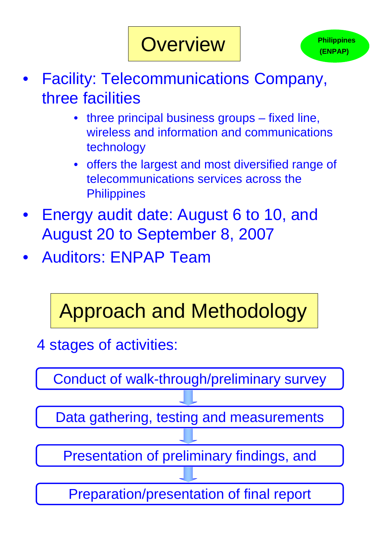- Facility: Telecommunications Company, three facilities
	- three principal business groups fixed line, wireless and information and communications technology
	- offers the largest and most diversified range of telecommunications services across the **Philippines**
- Energy audit date: August 6 to 10, and August 20 to September 8, 2007
- Auditors: ENPAP Team

## Approach and Methodology

4 stages of activities:

Conduct of walk-through/preliminary survey



## **Overview**